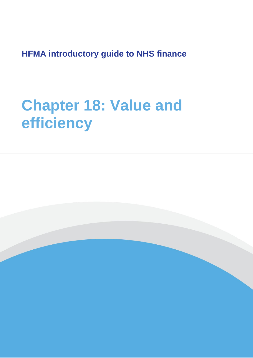**HFMA introductory guide to NHS finance**

# **Chapter 18: Value and efficiency**

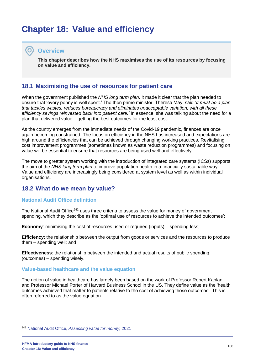# **Chapter 18: Value and efficiency**

#### **Overview**

**This chapter describes how the NHS maximises the use of its resources by focusing on value and efficiency.**

#### **18.1 Maximising the use of resources for patient care**

When the government published the *NHS long term plan,* it made it clear that the plan needed to ensure that 'every penny is well spent.' The then prime minister, Theresa May, said *'It must be a plan that tackles wastes, reduces bureaucracy and eliminates unacceptable variation, with all these efficiency savings reinvested back into patient care.'* In essence, she was talking about the need for a plan that delivered value – getting the best outcomes for the least cost.

As the country emerges from the immediate needs of the Covid-19 pandemic, finances are once again becoming constrained. The focus on efficiency in the NHS has increased and expectations are high around the efficiencies that can be achieved through changing working practices. Revitalising cost improvement programmes (sometimes known as waste reduction programmes) and focusing on value will be essential to ensure that resources are being used well and effectively.

The move to greater system working with the introduction of integrated care systems (ICSs) supports the aim of the *NHS long term plan* to improve population health in a financially sustainable way. Value and efficiency are increasingly being considered at system level as well as within individual organisations.

#### **18.2 What do we mean by value?**

#### **National Audit Office definition**

The National Audit Office<sup>242</sup> uses three criteria to assess the value for money of government spending, which they describe as the 'optimal use of resources to achieve the intended outcomes':

**Economy:** minimising the cost of resources used or required (inputs) – spending less;

**Efficiency**: the relationship between the output from goods or services and the resources to produce them – spending well; and

**Effectiveness**: the relationship between the intended and actual results of public spending (outcomes) – spending wisely.

#### **Value-based healthcare and the value equation**

The notion of value in healthcare has largely been based on the work of Professor Robert Kaplan and Professor Michael Porter of Harvard Business School in the US. They define value as the 'health outcomes achieved that matter to patients relative to the cost of achieving those outcomes'. This is often referred to as the value equation.

<sup>242</sup> National Audit Office, *[Assessing value for money,](https://www.nao.org.uk/successful-commissioning/general-principles/value-for-money/assessing-value-for-money/)* 2021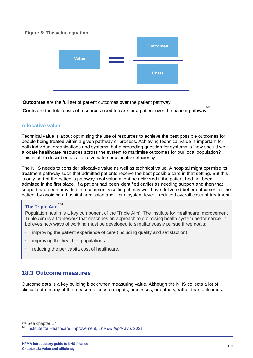#### **Figure 8: The value equation**



**Outcomes** are the full set of patient outcomes over the patient pathway

243 **Costs** are the total costs of resources used to care for a patient over the patient pathway

#### **Allocative value**

Technical value is about optimising the use of resources to achieve the best possible outcomes for people being treated within a given pathway or process. Achieving technical value is important for both individual organisations and systems, but a preceding question for systems is 'how should we allocate healthcare resources across the system to maximise outcomes for our local population?' This is often described as allocative value or allocative efficiency.

The NHS needs to consider allocative value as well as technical value. A hospital might optimise its treatment pathway such that admitted patients receive the best possible care in that setting. But this is only part of the patient's pathway; real value might be delivered if the patient had not been admitted in the first place. If a patient had been identified earlier as needing support and then that support had been provided in a community setting, it may well have delivered better outcomes for the patient by avoiding a hospital admission and – at a system-level – reduced overall costs of treatment.

#### **The Triple Aim** 244

Population health is a key component of the 'Triple Aim'. The Institute for Healthcare Improvement Triple Aim is a framework that describes an approach to optimising health system performance. It believes new ways of working must be developed to simultaneously pursue three goals:

- improving the patient experience of care (including quality and satisfaction)
- improving the health of populations
- reducing the per capita cost of healthcare.

# **18.3 Outcome measures**

Outcome data is a key building block when measuring value. Although the NHS collects a lot of clinical data, many of the measures focus on inputs, processes, or outputs, rather than outcomes.

<sup>243</sup> See chapter 17

<sup>244</sup> [Institute for Healthcare Improvement,](http://www.ihi.org/engage/initiatives/TripleAim/Pages/default.aspx) *The IHI triple aim,* 2021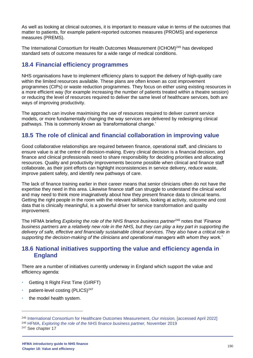As well as looking at clinical outcomes, it is important to measure value in terms of the outcomes that matter to patients, for example patient-reported outcomes measures (PROMS) and experience measures (PREMS).

The International Consortium for Health Outcomes Measurement (ICHOM)<sup>245</sup> has developed standard sets of outcome measures for a wide range of medical conditions.

# **18.4 Financial efficiency programmes**

NHS organisations have to implement efficiency plans to support the delivery of high-quality care within the limited resources available. These plans are often known as cost improvement programmes (CIPs) or waste reduction programmes. They focus on either using existing resources in a more efficient way (for example increasing the number of patients treated within a theatre session) or reducing the level of resources required to deliver the same level of healthcare services, both are ways of improving productivity.

The approach can involve maximising the use of resources required to deliver current service models, or more fundamentally changing the way services are delivered by redesigning clinical pathways. This is commonly known as 'transformational change.'

# **18.5 The role of clinical and financial collaboration in improving value**

Good collaborative relationships are required between finance, operational staff, and clinicians to ensure value is at the centre of decision-making. Every clinical decision is a financial decision, and finance and clinical professionals need to share responsibility for deciding priorities and allocating resources. Quality and productivity improvements become possible when clinical and finance staff collaborate, as their joint efforts can highlight inconsistencies in service delivery, reduce waste, improve patient safety, and identify new pathways of care.

The lack of finance training earlier in their career means that senior clinicians often do not have the expertise they need in this area. Likewise finance staff can struggle to understand the clinical world and may need to think more imaginatively about how they present finance data to clinical teams. Getting the right people in the room with the relevant skillsets, looking at activity, outcome and cost data that is clinically meaningful, is a powerful driver for service transformation and quality improvement.

The HFMA briefing *Exploring the role of the NHS finance business partner*<sup>246</sup> notes that *'Finance business partners are a relatively new role in the NHS, but they can play a key part in supporting the delivery of safe, effective and financially sustainable clinical services. They also have a critical role in supporting the decision-making of the clinicians and operational managers with whom they work.'*

# **18.6 National initiatives supporting the value and efficiency agenda in England**

There are a number of initiatives currently underway in England which support the value and efficiency agenda:

- Getting It Right First Time (GIRFT)
- patient-level costing (PLICS)<sup>247</sup>
- the model health system.

<sup>245</sup> [International Consortium for Healthcare Outcomes Measurement,](https://www.ichom.org/mission/) *Our mission,* [accessed April 2022] <sup>246</sup> HFMA, *[Exploring the role of the NHS finance business partner,](https://www.hfma.org.uk/publications/details/exploring-the-role-of-the-nhs-finance-business-partner)* November 2019

<sup>&</sup>lt;sup>247</sup> See chapter 17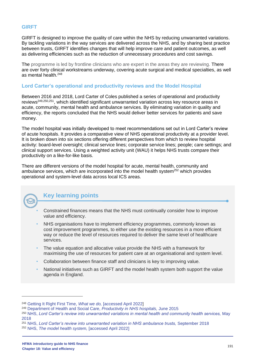#### **GIRFT**

GIRFT is designed to improve the quality of care within the NHS by reducing unwarranted variations. By tackling variations in the way services are delivered across the NHS, and by sharing best practice between trusts, GIRFT identifies changes that will help improve care and patient outcomes, as well as delivering efficiencies such as the reduction of unnecessary procedures and cost savings.

The programme is led by frontline clinicians who are expert in the areas they are reviewing. There are over forty clinical workstreams underway, covering acute surgical and medical specialties, as well as mental health.<sup>248</sup>

#### **Lord Carter's operational and productivity reviews and the Model Hospital**

Between 2016 and 2018, Lord Carter of Coles published a series of operational and productivity reviews<sup>249,250,251</sup>, which identified significant unwarranted variation across key resource areas in acute, community, mental health and ambulance services. By eliminating variation in quality and efficiency, the reports concluded that the NHS would deliver better services for patients and save money.

The model hospital was initially developed to meet recommendations set out in Lord Carter's review of acute hospitals. It provides a comparative view of NHS operational productivity at a provider level. It is broken down into six sections offering different perspectives from which to review hospital activity: board-level oversight; clinical service lines; corporate service lines; people; care settings; and clinical support services. Using a weighted activity unit (WAU) it helps NHS trusts compare their productivity on a like-for-like basis.

There are different versions of the model hospital for acute, mental health, community and ambulance services, which are incorporated into the model health system<sup>252</sup> which provides operational and system-level data across local ICS areas.



# **Key learning points**

- Constrained finances means that the NHS must continually consider how to improve value and efficiency.
- NHS organisations have to implement efficiency programmes, commonly known as cost improvement programmes, to either use the existing resources in a more efficient way or reduce the level of resources required to deliver the same level of healthcare services.
- The value equation and allocative value provide the NHS with a framework for maximising the use of resources for patient care at an organisational and system level.
- Collaboration between finance staff and clinicians is key to improving value.
- National initiatives such as GIRFT and the model health system both support the value agenda in England.

<sup>248</sup> [Getting It Right First Time,](https://www.gettingitrightfirsttime.co.uk/what-we-do/) *What we do,* [accessed April 2022]

<sup>249</sup> [Department of Health and Social Care,](https://www.gov.uk/government/publications/productivity-in-nhs-hospitals) *Productivity in NHS hospitals,* June 2015

<sup>250</sup> NHS, *[Lord Carter's review into unwarranted variations in mental health and community health services,](https://www.england.nhs.uk/publication/lord-carters-review-into-unwarranted-variations-in-mental-health-and-community-health-services/)* May [2018](https://www.england.nhs.uk/publication/lord-carters-review-into-unwarranted-variations-in-mental-health-and-community-health-services/)

<sup>251</sup> NHS, *[Lord Carter's review into unwarranted variation in NHS ambulance trusts,](https://www.england.nhs.uk/publication/lord-carters-review-into-unwarranted-variation-in-nhs-ambulance-trusts/)* September 2018

<sup>252</sup> NHS, *[The model health system,](https://www.england.nhs.uk/applications/model-hospital/)* [accessed April 2022]